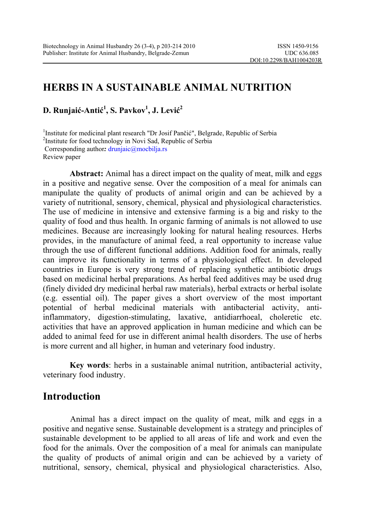# **HERBS IN A SUSTAINABLE ANIMAL NUTRITION**

**D. Runjaić-Antić 1 , S. Pavkov1 , J. Lević 2**

<sup>1</sup>Institute for medicinal plant research "Dr Josif Pančić", Belgrade, Republic of Serbia <sup>2</sup>Institute for food technology in Novi Sed. Benublic of Serbia <sup>2</sup>Institute for food technology in Novi Sad, Republic of Serbia Corresponding author*:* [drunjaic@mocbilja.rs](mailto:drunjaic@mocbilja.rs) Review paper

**Abstract:** Animal has a direct impact on the quality of meat, milk and eggs in a positive and negative sense. Over the composition of a meal for animals can manipulate the quality of products of animal origin and can be achieved by a variety of nutritional, sensory, chemical, physical and physiological characteristics. The use of medicine in intensive and extensive farming is a big and risky to the quality of food and thus health. In organic farming of animals is not allowed to use medicines. Because are increasingly looking for natural healing resources. Herbs provides, in the manufacture of animal feed, a real opportunity to increase value through the use of different functional additions. Addition food for animals, really can improve its functionality in terms of a physiological effect. In developed countries in Europe is very strong trend of replacing synthetic antibiotic drugs based on medicinal herbal preparations. As herbal feed additives may be used drug (finely divided dry medicinal herbal raw materials), herbal extracts or herbal isolate (e.g. essential oil). The paper gives a short overview of the most important potential of herbal medicinal materials with antibacterial activity, antiinflammatory, digestion-stimulating, laxative, antidiarrhoeal, choleretic etc. activities that have an approved application in human medicine and which can be added to animal feed for use in different animal health disorders. The use of herbs is more current and all higher, in human and veterinary food industry.

**Key words**: herbs in a sustainable animal nutrition, antibacterial activity, veterinary food industry.

#### **Introduction**

Animal has a direct impact on the quality of meat, milk and eggs in a positive and negative sense. Sustainable development is a strategy and principles of sustainable development to be applied to all areas of life and work and even the food for the animals. Over the composition of a meal for animals can manipulate the quality of products of animal origin and can be achieved by a variety of nutritional, sensory, chemical, physical and physiological characteristics. Also,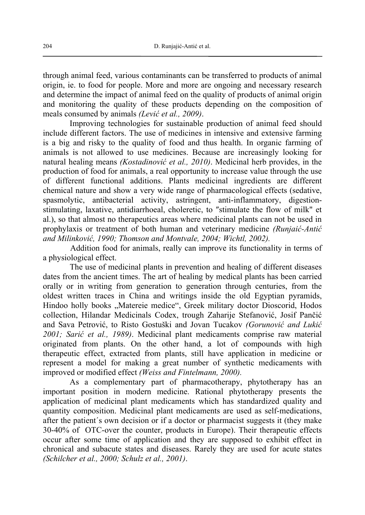through animal feed, various contaminants can be transferred to products of animal origin, ie. to food for people. More and more are ongoing and necessary research and determine the impact of animal feed on the quality of products of animal origin and monitoring the quality of these products depending on the composition of meals consumed by animals *(Lević et al., 2009)*.

 Improving technologies for sustainable production of animal feed should include different factors. The use of medicines in intensive and extensive farming is a big and risky to the quality of food and thus health. In organic farming of animals is not allowed to use medicines. Because are increasingly looking for natural healing means *(Kostadinović et al., 2010)*. Medicinal herb provides, in the production of food for animals, a real opportunity to increase value through the use of different functional additions. Plants medicinal ingredients are different chemical nature and show a very wide range of pharmacological effects (sedative, spasmolytic, antibacterial activity, astringent, anti-inflammatory, digestionstimulating, laxative, antidiarrhoeal, choleretic, to ″stimulate the flow of milk" et al.), so that almost no therapeutics areas where medicinal plants can not be used in prophylaxis or treatment of both human and veterinary medicine *(Runjaić-Antić and Milinković, 1990; Thomson and Montvale, 2004; Wichtl, 2002).* 

Addition food for animals, really can improve its functionality in terms of a physiological effect.

 The use of medicinal plants in prevention and healing of different diseases dates from the ancient times. The art of healing by medical plants has been carried orally or in writing from generation to generation through centuries, from the oldest written traces in China and writings inside the old Egyptian pyramids, Hindoo holly books "Matereie medice", Greek military doctor Dioscorid, Hodos collection, Hilandar Medicinals Codex, trough Zaharije Stefanović, Josif Pančić and Sava Petrović, to Risto Gostuški and Jovan Tucakov *(Gorunović and Lukić 2001; Sarić et al., 1989)*. Medicinal plant medicaments comprise raw material originated from plants. On the other hand, a lot of compounds with high therapeutic effect, extracted from plants, still have application in medicine or represent a model for making a great number of synthetic medicaments with improved or modified effect *(Weiss and Fintelmann, 2000).* 

 As a complementary part of pharmacotherapy, phytotherapy has an important position in modern medicine. Rational phytotherapy presents the application of medicinal plant medicaments which has standardized quality and quantity composition. Medicinal plant medicaments are used as self-medications, after the patient´s own decision or if a doctor or pharmacist suggests it (they make 30-40% of OTC-over the counter, products in Europe). Their therapeutic effects occur after some time of application and they are supposed to exhibit effect in chronical and subacute states and diseases. Rarely they are used for acute states *(Schilcher et al., 2000; Schulz et al., 2001)*.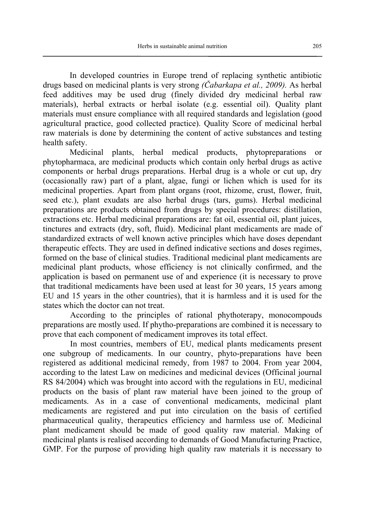In developed countries in Europe trend of replacing synthetic antibiotic drugs based on medicinal plants is very strong *(Čabarkapa et al., 2009).* As herbal feed additives may be used drug (finely divided dry medicinal herbal raw materials), herbal extracts or herbal isolate (e.g. essential oil). Quality plant materials must ensure compliance with all required standards and legislation (good agricultural practice, good collected practice). Quality Score of medicinal herbal raw materials is done by determining the content of active substances and testing health safety.

 Medicinal plants, herbal medical products, phytopreparations or phytopharmaca, are medicinal products which contain only herbal drugs as active components or herbal drugs preparations. Herbal drug is a whole or cut up, dry (occasionally raw) part of a plant, algae, fungi or lichen which is used for its medicinal properties. Apart from plant organs (root, rhizome, crust, flower, fruit, seed etc.), plant exudats are also herbal drugs (tars, gums). Herbal medicinal preparations are products obtained from drugs by special procedures: distillation, extractions etc. Herbal medicinal preparations are: fat oil, essential oil, plant juices, tinctures and extracts (dry, soft, fluid). Medicinal plant medicaments are made of standardized extracts of well known active principles which have doses dependant therapeutic effects. They are used in defined indicative sections and doses regimes, formed on the base of clinical studies. Traditional medicinal plant medicaments are medicinal plant products, whose efficiency is not clinically confirmed, and the application is based on permanent use of and experience (it is necessary to prove that traditional medicaments have been used at least for 30 years, 15 years among EU and 15 years in the other countries), that it is harmless and it is used for the states which the doctor can not treat.

According to the principles of rational phythoterapy, monocompouds preparations are mostly used. If phytho-preparations are combined it is necessary to prove that each component of medicament improves its total effect.

In most countries, members of EU, medical plants medicaments present one subgroup of medicaments. In our country, phyto-preparations have been registered as additional medicinal remedy, from 1987 to 2004. From year 2004, according to the latest Law on medicines and medicinal devices (Officinal journal RS 84/2004) which was brought into accord with the regulations in EU, medicinal products on the basis of plant raw material have been joined to the group of medicaments. As in a case of conventional medicaments, medicinal plant medicaments are registered and put into circulation on the basis of certified pharmaceutical quality, therapeutics efficiency and harmless use of. Medicinal plant medicament should be made of good quality raw material. Making of medicinal plants is realised according to demands of Good Manufacturing Practice, GMP. For the purpose of providing high quality raw materials it is necessary to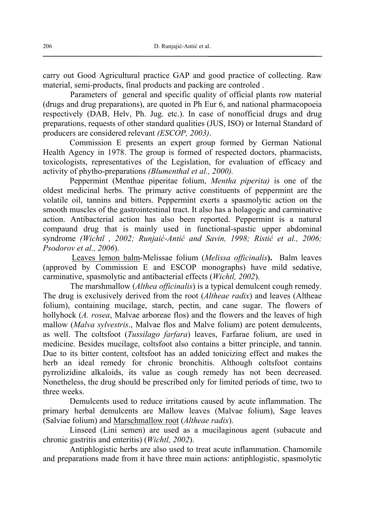carry out Good Agricultural practice GAP and good practice of collecting. Raw material, semi-products, final products and packing are controled .

Parameters of general and specific quality of official plants row material (drugs and drug preparations), are quoted in Ph Eur 6, and national pharmacopoeia respectively (DAB, Helv, Ph. Jug. etc.). In case of nonofficial drugs and drug preparations, requests of other standard qualities (JUS, ISO) or Internal Standard of producers are considered relevant *(ESCOP, 2003)*.

Commission E presents an expert group formed by German National Health Agency in 1978. The group is formed of respected doctors, pharmacists, toxicologists, representatives of the Legislation, for evaluation of efficacy and activity of phytho-preparations *(Blumenthal et al., 2000).* 

Peppermint (Menthae piperitae folium, *Mentha piperita)* is one of the oldest medicinal herbs. The primary active constituents of peppermint are the volatile oil, tannins and bitters. Peppermint exerts a spasmolytic action on the smooth muscles of the gastrointestinal tract. It also has a holagogic and carminative action. Antibacterial action has also been reported. Peppermint is a natural compaund drug that is mainly used in functional-spastic upper abdominal syndrome *(Wichtl , 2002; Runjaić-Antić and Savin, 1998; Ristić et al., 2006; Psodorov et al., 2006*).

Leaves lemon balm*-*Melissae folium (*Melissa officinalis***).** Balm leaves (approved by Commission E and ESCOP monographs) have mild sedative, carminative, spasmolytic and antibacterial effects (*Wichtl, 2002*).

The marshmallow (*Althea officinalis*) is a typical demulcent cough remedy. The drug is exclusively derived from the root (*Altheae radix*) and leaves (Altheae folium), containing mucilage, starch, pectin, and cane sugar. The flowers of hollyhock (*A. rosea*, Malvae arboreae flos) and the flowers and the leaves of high mallow (*Malva sylvestris*., Malvae flos and Malve folium) are potent demulcents, as well. The coltsfoot (*Tussilago farfara*) leaves, Farfarae folium, are used in medicine. Besides mucilage, coltsfoot also contains a bitter principle, and tannin. Due to its bitter content, coltsfoot has an added tonicizing effect and makes the herb an ideal remedy for chronic bronchitis. Although coltsfoot contains pyrrolizidine alkaloids, its value as cough remedy has not been decreased. Nonetheless, the drug should be prescribed only for limited periods of time, two to three weeks.

 Demulcents used to reduce irritations caused by acute inflammation. The primary herbal demulcents are Mallow leaves (Malvae folium), Sage leaves (Salviae folium) and Marschmallow root (*Altheae radix*).

Linseed (Lini semen) are used as a mucilaginous agent (subacute and chronic gastritis and enteritis) (*Wichtl, 2002*).

 Antiphlogistic herbs are also used to treat acute inflammation. Chamomile and preparations made from it have three main actions: antiphlogistic, spasmolytic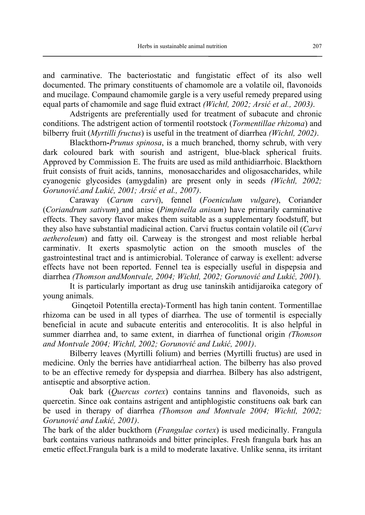and carminative. The bacteriostatic and fungistatic effect of its also well documented. The primary constituents of chamomole are a volatile oil, flavonoids and mucilage. Compaund chamomile gargle is a very useful remedy prepared using equal parts of chamomile and sage fluid extract *(Wichtl, 2002; Arsić et al., 2003)*.

 Adstrigents are preferentially used for treatment of subacute and chronic conditions. The adstrigent action of tormentil rootstock (*Tormentillae rhizoma*) and bilberry fruit (*Myrtilli fructus*) is useful in the treatment of diarrhea *(Wichtl, 2002)*.

 Blackthorn**-***Prunus spinosa*, is a much branched, thorny schrub, with very dark coloured bark with sourish and astrigent, blue-black spherical fruits. Approved by Commission E. The fruits are used as mild anthidiarrhoic. Blackthorn fruit consists of fruit acids, tannins, monosaccharides and oligosaccharides, while cyanogenic glycosides (amygdalin) are present only in seeds *(Wichtl, 2002; Gorunović.and Lukić, 2001; Arsić et al., 2007)*.

 Caraway (*Carum carvi*), fennel (*Foeniculum vulgare*), Coriander (*Coriandrum sativum*) and anise (*Pimpinella anisum*) have primarily carminative effects. They savory flavor makes them suitable as a supplementary foodstuff, but they also have substantial madicinal action. Carvi fructus contain volatile oil (*Carvi aetheroleum*) and fatty oil. Carweay is the strongest and most reliable herbal carminativ. It exerts spasmolytic action on the smooth muscles of the gastrointestinal tract and is antimicrobial. Tolerance of carway is exellent: adverse effects have not been reported. Fennel tea is especially useful in dispepsia and diarrhea *(Thomson andMontvale, 2004; Wichtl, 2002; Gorunović and Lukić, 2001*).

It is particularly important as drug use taninskih antidijaroika category of young animals.

 Ginqetoil Potentilla erecta)-Tormentl has high tanin content. Tormentillae rhizoma can be used in all types of diarrhea. The use of tormentil is especially beneficial in acute and subacute enteritis and enterocolitis. It is also helpful in summer diarrhea and, to same extent, in diarrhea of functional origin *(Thomson and Montvale 2004; Wichtl, 2002; Gorunović and Lukić, 2001)*.

 Bilberry leaves (Myrtilli folium) and berries (Myrtilli fructus) are used in medicine. Only the berries have antidiarrheal action. The bilberry has also proved to be an effective remedy for dyspepsia and diarrhea. Bilbery has also adstrigent, antiseptic and absorptive action.

Oak bark (*Quercus cortex*) contains tannins and flavonoids, such as quercetin. Since oak contains astrigent and antiphlogistic constituens oak bark can be used in therapy of diarrhea *(Thomson and Montvale 2004; Wichtl, 2002; Gorunović and Lukić, 2001)*.

The bark of the alder buckthorn (*Frangulae cortex*) is used medicinally. Frangula bark contains various nathranoids and bitter principles. Fresh frangula bark has an emetic effect.Frangula bark is a mild to moderate laxative. Unlike senna, its irritant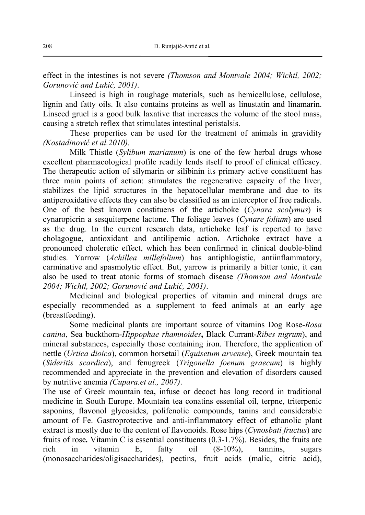effect in the intestines is not severe *(Thomson and Montvale 2004; Wichtl, 2002; Gorunović and Lukić, 2001)*.

Linseed is high in roughage materials, such as hemicellulose, cellulose, lignin and fatty oils. It also contains proteins as well as linustatin and linamarin. Linseed gruel is a good bulk laxative that increases the volume of the stool mass, causing a stretch reflex that stimulates intestinal peristalsis.

These properties can be used for the treatment of animals in gravidity *(Kostadinović et al.2010).* 

 Milk Thistle (*Sylibum marianum*) is one of the few herbal drugs whose excellent pharmacological profile readily lends itself to proof of clinical efficacy. The therapeutic action of silymarin or silibinin its primary active constituent has three main points of action: stimulates the regenerative capacity of the liver, stabilizes the lipid structures in the hepatocellular membrane and due to its antiperoxidative effects they can also be classified as an interceptor of free radicals. One of the best known constituens of the artichoke (*Cynara scolymus*) is cynaropicrin a sesquiterpene lactone. The foliage leaves (*Cynare folium*) are used as the drug. In the current research data, artichoke leaf is reperted to have cholagogue, antioxidant and antilipemic action. Artichoke extract have a pronounced choleretic effect, which has been confirmed in clinical double-blind studies. Yarrow (*Achillea millefolium*) has antiphlogistic, antiinflammatory, carminative and spasmolytic effect. But, yarrow is primarily a bitter tonic, it can also be used to treat atonic forms of stomach disease *(Thomson and Montvale 2004; Wichtl, 2002; Gorunović and Lukić, 2001)*.

Medicinal and biological properties of vitamin and mineral drugs are especially recommended as a supplement to feed animals at an early age (breastfeeding).

 Some medicinal plants are important source of vitamins Dog Rose**-***Rosa canina*, Sea buckthorn-*Hippophae rhamnoides***,** Black Currant-*Ribes nigrum*), and mineral substances, especially those containing iron. Therefore, the application of nettle (*Urtica dioica*), common horsetail (*Equisetum arvense*), Greek mountain tea (*Sideritis scardica*), and fenugreek (*Trigonella foenum graecum*) is highly recommended and appreciate in the prevention and elevation of disorders caused by nutritive anemia *(Cupara.et al., 2007)*.

The use of Greek mountain tea**,** infuse or decoct has long record in traditional medicine in South Europe. Mountain tea conatins essential oil, terpne, triterpenic saponins, flavonol glycosides, polifenolic compounds, tanins and considerable amount of Fe. Gastroprotective and anti-inflammatory effect of ethanolic plant extract is mostly due to the content of flavonoids. Rose hips (*Cynosbati fructus*) are fruits of rose*.* Vitamin C is essential constituents (0.3-1.7%). Besides, the fruits are rich in vitamin E, fatty oil (8-10%), tannins, sugars (monosaccharides/oligisaccharides), pectins, fruit acids (malic, citric acid),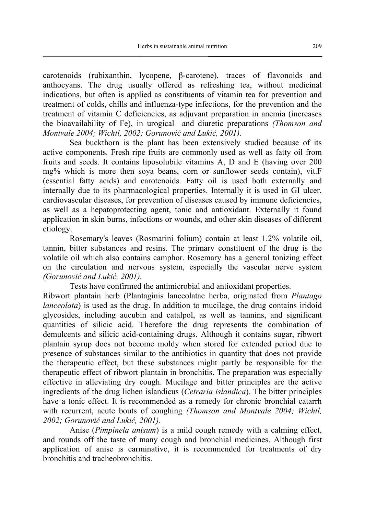carotenoids (rubixanthin, lycopene, β-carotene), traces of flavonoids and anthocyans. The drug usually offered as refreshing tea, without medicinal indications, but often is applied as constituents of vitamin tea for prevention and treatment of colds, chills and influenza-type infections, for the prevention and the treatment of vitamin C deficiencies, as adjuvant preparation in anemia (increases the bioavailability of Fe), in urogical and diuretic preparations *(Thomson and Montvale 2004; Wichtl, 2002; Gorunović and Lukić, 2001)*.

 Sea buckthorn is the plant has been extensively studied because of its active components. Fresh ripe fruits are commonly used as well as fatty oil from fruits and seeds. It contains liposolubile vitamins A, D and E (having over 200 mg% which is more then soya beans, corn or sunflower seeds contain), vit.F (essential fatty acids) and carotenoids. Fatty oil is used both externally and internally due to its pharmacological properties. Internally it is used in GI ulcer, cardiovascular diseases, for prevention of diseases caused by immune deficiencies, as well as a hepatoprotecting agent, tonic and antioxidant. Externally it found application in skin burns, infections or wounds, and other skin diseases of different etiology.

Rosemary's leaves (Rosmarini folium) contain at least 1.2% volatile oil, tannin, bitter substances and resins. The primary constituent of the drug is the volatile oil which also contains camphor. Rosemary has a general tonizing effect on the circulation and nervous system, especially the vascular nerve system *(Gorunović and Lukić, 2001).*

Tests have confirmed the antimicrobial and antioxidant properties.

Ribwort plantain herb (Plantaginis lanceolatae herba, originated from *Plantago lanceolata*) is used as the drug. In addition to mucilage, the drug contains iridoid glycosides, including aucubin and catalpol, as well as tannins, and significant quantities of silicic acid. Therefore the drug represents the combination of demulcents and silicic acid-containing drugs. Although it contains sugar, ribwort plantain syrup does not become moldy when stored for extended period due to presence of substances similar to the antibiotics in quantity that does not provide the therapeutic effect, but these substances might partly be responsible for the therapeutic effect of ribwort plantain in bronchitis. The preparation was especially effective in alleviating dry cough. Mucilage and bitter principles are the active ingredients of the drug lichen islandicus (*Cetraria islandica*). The bitter principles have a tonic effect. It is recommended as a remedy for chronic bronchial catarrh with recurrent, acute bouts of coughing *(Thomson and Montvale 2004; Wichtl, 2002; Gorunović and Lukić, 2001)*.

Anise (*Pimpinela anisum*) is a mild cough remedy with a calming effect, and rounds off the taste of many cough and bronchial medicines. Although first application of anise is carminative, it is recommended for treatments of dry bronchitis and tracheobronchitis.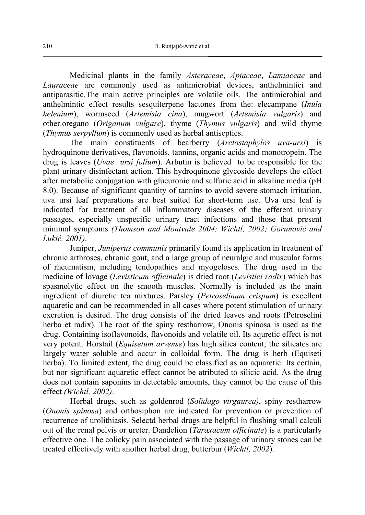Medicinal plants in the family *Asteraceae*, *Apiaceae*, *Lamiaceae* and *Lauraceae* are commonly used as antimicrobial devices, anthelmintici and antiparasitic.The main active principles are volatile oils. The antimicrobial and anthelmintic effect results sesquiterpene lactones from the: elecampane (*Inula helenium*), wormseed (*Artemisia cina*), mugwort (*Artemisia vulgaris*) and other.oregano (*Origanum vulgare*), thyme (*Thymus vulgaris*) and wild thyme (*Thymus serpyllum*) is commonly used as herbal antiseptics.

The main constituents of bearberry (*Arctostaphylos uva-ursi*) is hydroquinone derivatives, flavonoids, tannins, organic acids and monotropein. The drug is leaves (*Uvae ursi folium*). Arbutin is believed to be responsible for the plant urinary disinfectant action. This hydroquinone glycoside develops the effect after metabolic conjugation with glucuronic and sulfuric acid in alkaline media (pH 8.0). Because of significant quantity of tannins to avoid severe stomach irritation, uva ursi leaf preparations are best suited for short-term use. Uva ursi leaf is indicated for treatment of all inflammatory diseases of the efferent urinary passages, especially unspecific urinary tract infections and those that present minimal symptoms *(Thomson and Montvale 2004; Wichtl, 2002; Gorunović and Lukić, 2001)*.

Juniper, *Juniperus communis* primarily found its application in treatment of chronic arthroses, chronic gout, and a large group of neuralgic and muscular forms of rheumatism, including tendopathies and myogeloses. The drug used in the medicine of lovage (*Levisticum officinale*) is dried root (*Levistici radix*) which has spasmolytic effect on the smooth muscles. Normally is included as the main ingredient of diuretic tea mixtures. Parsley (*Petroselinum crispum*) is excellent aquaretic and can be recommended in all cases where potent stimulation of urinary excretion is desired. The drug consists of the dried leaves and roots (Petroselini herba et radix). The root of the spiny restharrow, Ononis spinosa is used as the drug. Containing isoflavonoids, flavonoids and volatile oil. Its aquretic effect is not very potent. Horstail (*Equisetum arvense*) has high silica content; the silicates are largely water soluble and occur in colloidal form. The drug is herb (Equiseti herba). To limited extent, the drug could be classified as an aquaretic. Its certain, but nor significant aquaretic effect cannot be atributed to silicic acid. As the drug does not contain saponins in detectable amounts, they cannot be the cause of this effect *(Wichtl, 2002)*.

Herbal drugs, such as goldenrod (*Solidago virgaurea)*, spiny restharrow (*Ononis spinosa*) and orthosiphon are indicated for prevention or prevention of recurrence of urolithiasis. Selectd herbal drugs are helpful in flushing small calculi out of the renal pelvis or ureter. Dandelion (*Taraxacum officinale*) is a particularly effective one. The colicky pain associated with the passage of urinary stones can be treated effectively with another herbal drug, butterbur (*Wichtl, 2002*).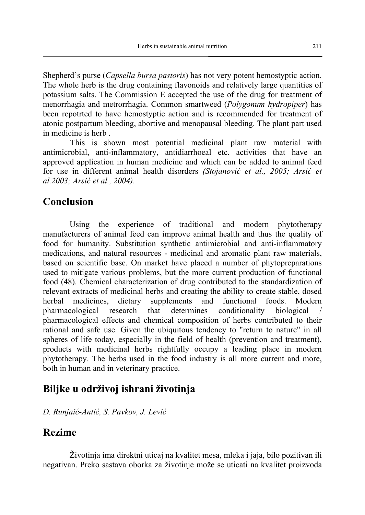Shepherd's purse (*Capsella bursa pastoris*) has not very potent hemostyptic action. The whole herb is the drug containing flavonoids and relatively large quantities of potassium salts. The Commission E accepted the use of the drug for treatment of menorrhagia and metrorrhagia. Common smartweed (*Polygonum hydropiper*) has been repotrted to have hemostyptic action and is recommended for treatment of atonic postpartum bleeding, abortive and menopausal bleeding. The plant part used in medicine is herb .

This is shown most potential medicinal plant raw material with antimicrobial, anti-inflammatory, antidiarrhoeal etc. activities that have an approved application in human medicine and which can be added to animal feed for use in different animal health disorders *(Stojanović et al., 2005; Arsić et al.2003; Arsić et al., 2004)*.

## **Conclusion**

Using the experience of traditional and modern phytotherapy manufacturers of animal feed can improve animal health and thus the quality of food for humanity. Substitution synthetic antimicrobial and anti-inflammatory medications, and natural resources - medicinal and aromatic plant raw materials, based on scientific base. On market have placed a number of phytopreparations used to mitigate various problems, but the more current production of functional food (48). Chemical characterization of drug contributed to the standardization of relevant extracts of medicinal herbs and creating the ability to create stable, dosed herbal medicines, dietary supplements and functional foods. Modern pharmacological research that determines conditionality biological / pharmacological effects and chemical composition of herbs contributed to their rational and safe use. Given the ubiquitous tendency to "return to nature" in all spheres of life today, especially in the field of health (prevention and treatment), products with medicinal herbs rightfully occupy a leading place in modern phytotherapy. The herbs used in the food industry is all more current and more, both in human and in veterinary practice.

## **Biljke u održivoj ishrani životinja**

*D. Runjaić-Antić, S. Pavkov, J. Lević*

## **Rezime**

Životinja ima direktni uticaj na kvalitet mesa, mleka i jaja, bilo pozitivan ili negativan. Preko sastava oborka za životinje može se uticati na kvalitet proizvoda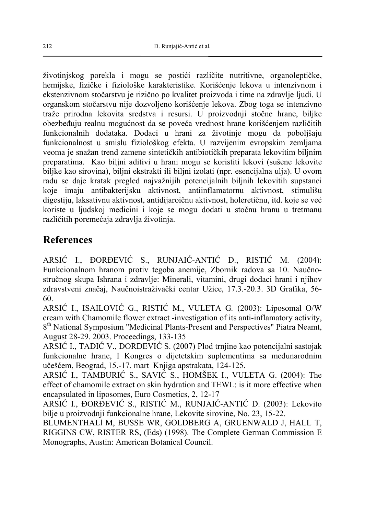životinjskog porekla i mogu se postići različite nutritivne, organoleptičke, hemijske, fizičke i fiziološke karakteristike. Korišćenje lekova u intenzivnom i ekstenzivnom stočarstvu je rizično po kvalitet proizvoda i time na zdravlje ljudi. U organskom stočarstvu nije dozvoljeno korišćenje lekova. Zbog toga se intenzivno traže prirodna lekovita sredstva i resursi. U proizvodnji stočne hrane, biljke obezbeđuju realnu mogućnost da se poveća vrednost hrane korišćenjem različitih funkcionalnih dodataka. Dodaci u hrani za životinje mogu da poboljšaju funkcionalnost u smislu fiziološkog efekta. U razvijenim evropskim zemljama veoma je snažan trend zamene sintetičkih antibiotičkih preparata lekovitim biljnim preparatima. Kao biljni aditivi u hrani mogu se koristiti lekovi (sušene lekovite biljke kao sirovina), biljni ekstrakti ili biljni izolati (npr. esencijalna ulja). U ovom radu se daje kratak pregled najvažnijih potencijalnih biljnih lekovitih supstanci koje imaju antibakterijsku aktivnost, antiinflamatornu aktivnost, stimulišu digestiju, laksativnu aktivnost, antidijaroičnu aktivnost, holeretičnu, itd. koje se već koriste u ljudskoj medicini i koje se mogu dodati u stočnu hranu u tretmanu različitih poremećaja zdravlja životinja.

#### **References**

ARSIĆ I., ĐORĐEVIĆ S., RUNJAIĆ-ANTIĆ D., RISTIĆ M*.* (2004): Funkcionalnom hranom protiv tegoba anemije, Zbornik radova sa 10. Naučnostručnog skupa Ishrana i zdravlje: Minerali, vitamini, drugi dodaci hrani i njihov zdravstveni značaj, Naučnoistraživački centar Užice, 17.3.-20.3. 3D Grafika, 56- 60.

ARSIĆ I., ISAILOVIĆ G., RISTIĆ M., VULETA G*.* (2003): Liposomal O/W cream with Chamomile flower extract -investigation of its anti-inflamatory activity, 8th National Symposium "Medicinal Plants-Present and Perspectives" Piatra Neamt, August 28-29. 2003. Proceedings, 133-135

ARSIĆ I., TADIĆ V., ĐORĐEVIĆ S. (2007) Plod trnjine kao potencijalni sastojak funkcionalne hrane, I Kongres o dijetetskim suplementima sa međunarodnim učešćem, Beograd, 15.-17. mart Knjiga apstrakata, 124-125.

ARSIĆ I., TAMBURIĆ S., SAVIĆ S., HOMŠEK I., VULETA G. (2004): The effect of chamomile extract on skin hydration and TEWL: is it more effective when encapsulated in liposomes, Euro Cosmetics, 2, 12-17

ARSIĆ I., ĐORĐEVIĆ S., RISTIĆ M., RUNJAIĆ-ANTIĆ D. (2003): Lekovito bilje u proizvodnji funkcionalne hrane, Lekovite sirovine, No. 23, 15-22.

BLUMENTHALl M, BUSSE WR, GOLDBERG A, GRUENWALD J, HALL T, RIGGINS CW, RISTER RS, (Eds) (1998). The Complete German Commission E Monographs, Austin: American Botanical Council.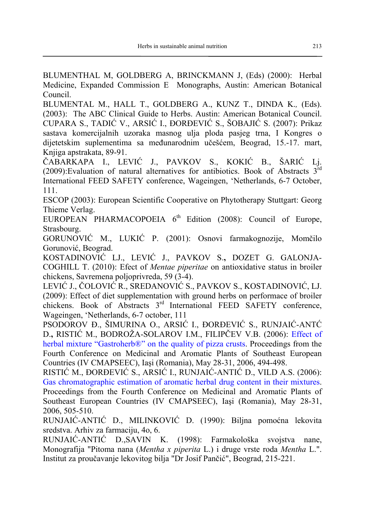BLUMENTHAL M, GOLDBERG A, BRINCKMANN J, (Eds) (2000): Herbal Medicine, Expanded Commission E Monographs, Austin: American Botanical Council.

BLUMENTAL M., HALL T., GOLDBERG A., KUNZ T., DINDA K.*,* (Eds). (2003): The ABC Clinical Guide to Herbs. Austin: American Botanical Council. CUPARA S., TADIĆ V., ARSIĆ I., ĐORĐEVIĆ S., ŠOBAJIĆ S. (2007): Prikaz sastava komercijalnih uzoraka masnog ulja ploda pasjeg trna, I Kongres o dijetetskim suplementima sa međunarodnim učešćem, Beograd, 15.-17. mart, Knjiga apstrakata, 89-91.

ČABARKAPA I., LEVIĆ J., PAVKOV S., KOKIĆ B., ŠARIĆ Lj. (2009):Evaluation of natural alternatives for antibiotics. Book of Abstracts  $3<sup>rd</sup>$ International FEED SAFETY conference, Wageingen, 'Netherlands, 6-7 October, 111.

ESCOP (2003): European Scientific Cooperative on Phytotherapy Stuttgart: Georg Thieme Verlag.

EUROPEAN PHARMACOPOEIA  $6<sup>th</sup>$  Edition (2008): Council of Europe, Strasbourg.

GORUNOVIĆ M., LUKIĆ P. (2001): Osnovi farmakognozije, Momčilo Gorunović, Beograd.

KOSTADINOVIĆ LJ., LEVIĆ J., PAVKOV S.**,** DOZET G. GALONJA-COGHILL T. (2010): Efect of *Mentae piperitae* on antioxidative status in broiler chickens, Savremena poljoprivreda, 59 (3-4).

LEVIĆ J., ČOLOVIĆ R., SREDANOVIĆ S., PAVKOV S., KOSTADINOVIĆ, LJ. (2009): Effect of diet supplementation with ground herbs on performace of broiler chickens. Book of Abstracts 3rd International FEED SAFETY conference, Wageingen, 'Netherlands, 6-7 october, 111

PSODOROV Đ., ŠIMURINA O., ARSIĆ I., ĐORĐEVIĆ S., RUNJAIĆ-ANTĆ D.**,** RISTIĆ M., BODROŽA-SOLAROV I.M., FILIPČEV V.B. (2006): Effect of herbal mixture "Gastroherb®" on the quality of pizza crusts. Proceedings from the Fourth Conference on Medicinal and Aromatic Plants of Southeast European Countries (IV CMAPSEEC), Iaşi (Romania), May 28-31, 2006, 494-498.

RISTIĆ M., ĐORĐEVIĆ S., ARSIĆ I., RUNJAIĆ-ANTIĆ D., VILD A.S. (2006): Gas chromatographic estimation of aromatic herbal drug content in their mixtures. Proceedings from the Fourth Conference on Medicinal and Aromatic Plants of Southeast European Countries (IV CMAPSEEC), Iaşi (Romania), May 28-31, 2006, 505-510.

RUNJAIĆ-ANTIĆ D., MILINKOVIĆ D. (1990): Biljna pomoćna lekovita sredstva. Arhiv za farmaciju, 4o, 6.

RUNJAIĆ-ANTIĆ D.,SAVIN K. (1998): Farmakološka svojstva nane, Monografija "Pitoma nana (*Mentha x piperita* L.) i druge vrste roda *Mentha* L.". Institut za proučavanje lekovitog bilja "Dr Josif Pančić", Beograd, 215-221.